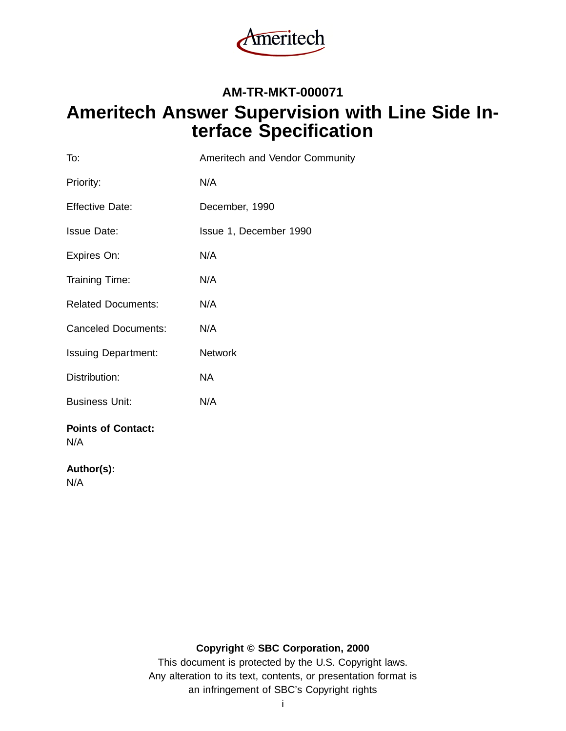

# **AM-TR-MKT-000071 Ameritech Answer Supervision with Line Side Interface Specification**

| To:                              | Ameritech and Vendor Community |
|----------------------------------|--------------------------------|
| Priority:                        | N/A                            |
| <b>Effective Date:</b>           | December, 1990                 |
| <b>Issue Date:</b>               | Issue 1, December 1990         |
| Expires On:                      | N/A                            |
| Training Time:                   | N/A                            |
| <b>Related Documents:</b>        | N/A                            |
| <b>Canceled Documents:</b>       | N/A                            |
| <b>Issuing Department:</b>       | <b>Network</b>                 |
| Distribution:                    | NA.                            |
| <b>Business Unit:</b>            | N/A                            |
| <b>Points of Contact:</b><br>N/A |                                |

**Author(s):**

N/A

#### **Copyright © SBC Corporation, 2000**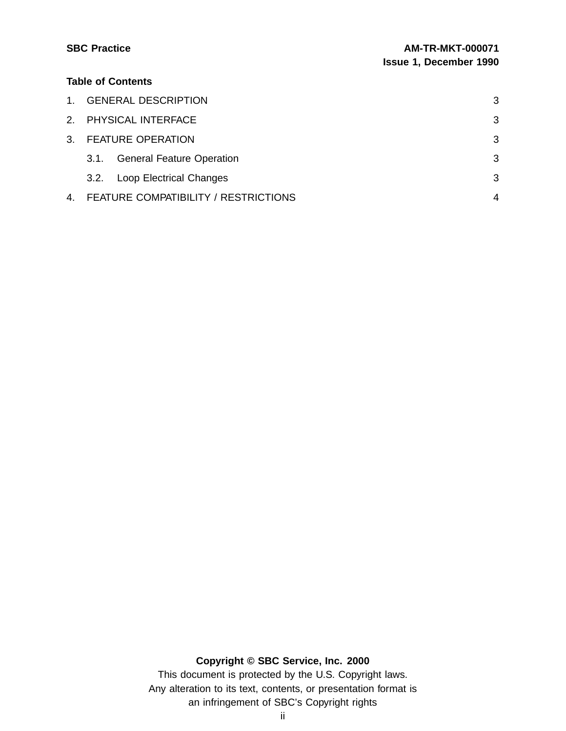#### **Table of Contents**

|    |                      | 1. GENERAL DESCRIPTION               | 3 |  |  |
|----|----------------------|--------------------------------------|---|--|--|
|    |                      | 2. PHYSICAL INTERFACE                | 3 |  |  |
|    | 3. FEATURE OPERATION |                                      |   |  |  |
|    | 3.1.                 | <b>General Feature Operation</b>     | 3 |  |  |
|    |                      | 3.2. Loop Electrical Changes         | 3 |  |  |
| 4. |                      | FEATURE COMPATIBILITY / RESTRICTIONS | 4 |  |  |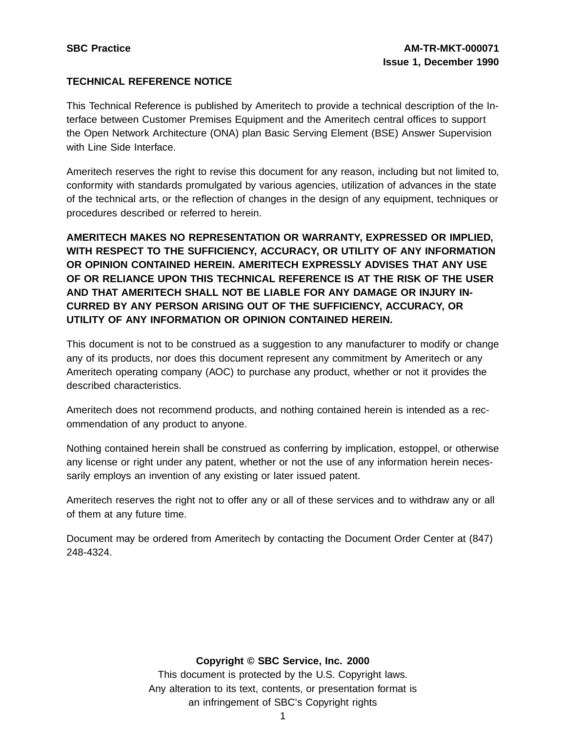#### **TECHNICAL REFERENCE NOTICE**

This Technical Reference is published by Ameritech to provide a technical description of the Interface between Customer Premises Equipment and the Ameritech central offices to support the Open Network Architecture (ONA) plan Basic Serving Element (BSE) Answer Supervision with Line Side Interface.

Ameritech reserves the right to revise this document for any reason, including but not limited to, conformity with standards promulgated by various agencies, utilization of advances in the state of the technical arts, or the reflection of changes in the design of any equipment, techniques or procedures described or referred to herein.

**AMERITECH MAKES NO REPRESENTATION OR WARRANTY, EXPRESSED OR IMPLIED, WITH RESPECT TO THE SUFFICIENCY, ACCURACY, OR UTILITY OF ANY INFORMATION OR OPINION CONTAINED HEREIN. AMERITECH EXPRESSLY ADVISES THAT ANY USE OF OR RELIANCE UPON THIS TECHNICAL REFERENCE IS AT THE RISK OF THE USER AND THAT AMERITECH SHALL NOT BE LIABLE FOR ANY DAMAGE OR INJURY IN-CURRED BY ANY PERSON ARISING OUT OF THE SUFFICIENCY, ACCURACY, OR UTILITY OF ANY INFORMATION OR OPINION CONTAINED HEREIN.**

This document is not to be construed as a suggestion to any manufacturer to modify or change any of its products, nor does this document represent any commitment by Ameritech or any Ameritech operating company (AOC) to purchase any product, whether or not it provides the described characteristics.

Ameritech does not recommend products, and nothing contained herein is intended as a recommendation of any product to anyone.

Nothing contained herein shall be construed as conferring by implication, estoppel, or otherwise any license or right under any patent, whether or not the use of any information herein necessarily employs an invention of any existing or later issued patent.

Ameritech reserves the right not to offer any or all of these services and to withdraw any or all of them at any future time.

Document may be ordered from Ameritech by contacting the Document Order Center at (847) 248-4324.

#### **Copyright © SBC Service, Inc. 2000**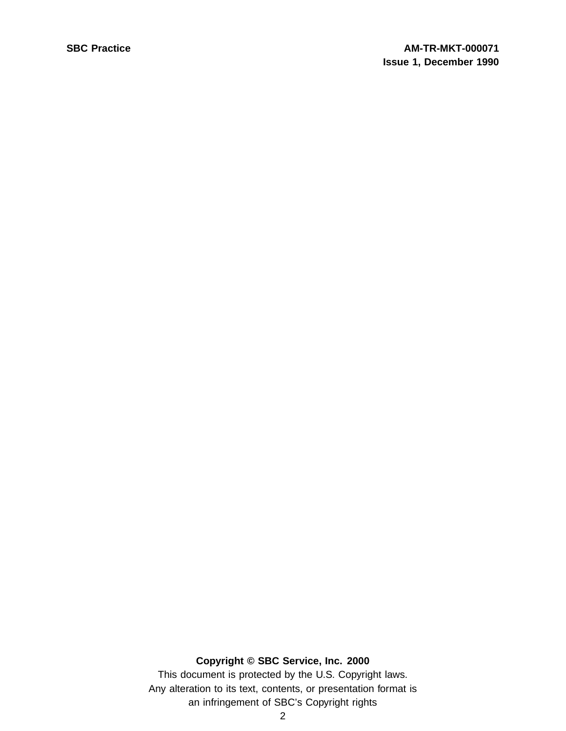## **Copyright © SBC Service, Inc. 2000**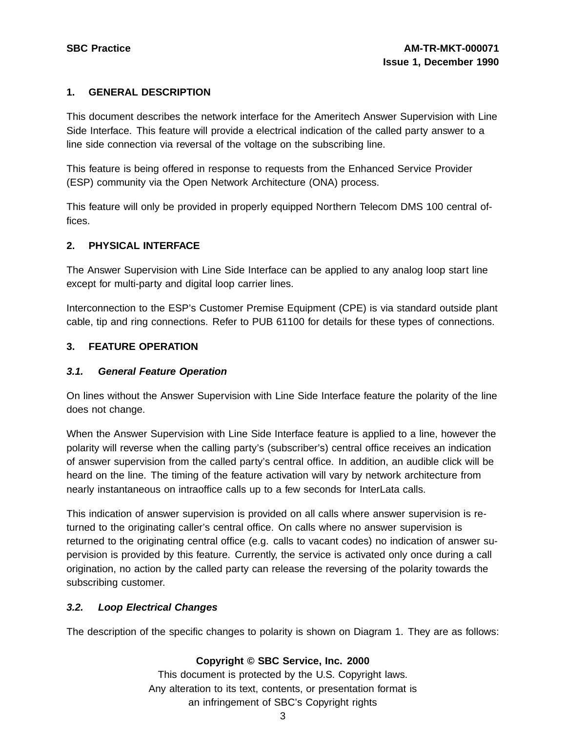#### **1. GENERAL DESCRIPTION**

This document describes the network interface for the Ameritech Answer Supervision with Line Side Interface. This feature will provide a electrical indication of the called party answer to a line side connection via reversal of the voltage on the subscribing line.

This feature is being offered in response to requests from the Enhanced Service Provider (ESP) community via the Open Network Architecture (ONA) process.

This feature will only be provided in properly equipped Northern Telecom DMS 100 central offices.

#### **2. PHYSICAL INTERFACE**

The Answer Supervision with Line Side Interface can be applied to any analog loop start line except for multi-party and digital loop carrier lines.

Interconnection to the ESP's Customer Premise Equipment (CPE) is via standard outside plant cable, tip and ring connections. Refer to PUB 61100 for details for these types of connections.

#### **3. FEATURE OPERATION**

#### **3.1. General Feature Operation**

On lines without the Answer Supervision with Line Side Interface feature the polarity of the line does not change.

When the Answer Supervision with Line Side Interface feature is applied to a line, however the polarity will reverse when the calling party's (subscriber's) central office receives an indication of answer supervision from the called party's central office. In addition, an audible click will be heard on the line. The timing of the feature activation will vary by network architecture from nearly instantaneous on intraoffice calls up to a few seconds for InterLata calls.

This indication of answer supervision is provided on all calls where answer supervision is returned to the originating caller's central office. On calls where no answer supervision is returned to the originating central office (e.g. calls to vacant codes) no indication of answer supervision is provided by this feature. Currently, the service is activated only once during a call origination, no action by the called party can release the reversing of the polarity towards the subscribing customer.

### **3.2. Loop Electrical Changes**

The description of the specific changes to polarity is shown on Diagram 1. They are as follows:

#### **Copyright © SBC Service, Inc. 2000**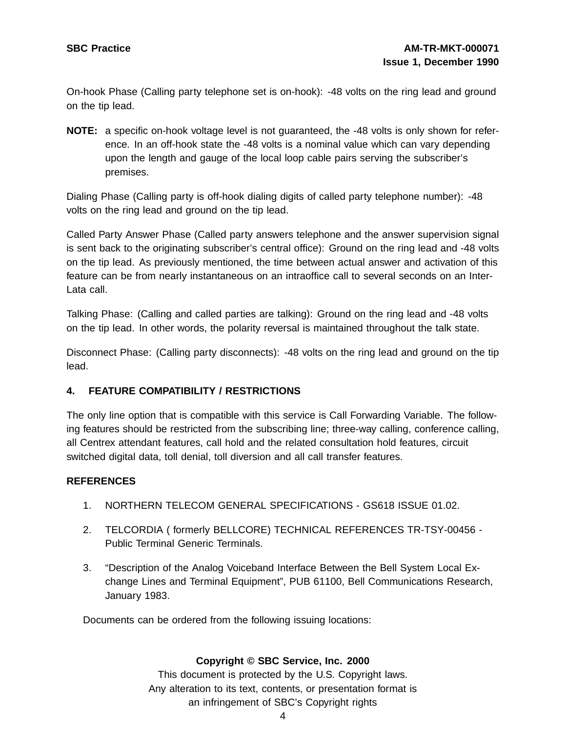On-hook Phase (Calling party telephone set is on-hook): -48 volts on the ring lead and ground on the tip lead.

**NOTE:** a specific on-hook voltage level is not guaranteed, the -48 volts is only shown for reference. In an off-hook state the -48 volts is a nominal value which can vary depending upon the length and gauge of the local loop cable pairs serving the subscriber's premises.

Dialing Phase (Calling party is off-hook dialing digits of called party telephone number): -48 volts on the ring lead and ground on the tip lead.

Called Party Answer Phase (Called party answers telephone and the answer supervision signal is sent back to the originating subscriber's central office): Ground on the ring lead and -48 volts on the tip lead. As previously mentioned, the time between actual answer and activation of this feature can be from nearly instantaneous on an intraoffice call to several seconds on an Inter-Lata call.

Talking Phase: (Calling and called parties are talking): Ground on the ring lead and -48 volts on the tip lead. In other words, the polarity reversal is maintained throughout the talk state.

Disconnect Phase: (Calling party disconnects): -48 volts on the ring lead and ground on the tip lead.

### **4. FEATURE COMPATIBILITY / RESTRICTIONS**

The only line option that is compatible with this service is Call Forwarding Variable. The following features should be restricted from the subscribing line; three-way calling, conference calling, all Centrex attendant features, call hold and the related consultation hold features, circuit switched digital data, toll denial, toll diversion and all call transfer features.

### **REFERENCES**

- 1. NORTHERN TELECOM GENERAL SPECIFICATIONS GS618 ISSUE 01.02.
- 2. TELCORDIA ( formerly BELLCORE) TECHNICAL REFERENCES TR-TSY-00456 Public Terminal Generic Terminals.
- 3. "Description of the Analog Voiceband Interface Between the Bell System Local Exchange Lines and Terminal Equipment", PUB 61100, Bell Communications Research, January 1983.

Documents can be ordered from the following issuing locations:

#### **Copyright © SBC Service, Inc. 2000**